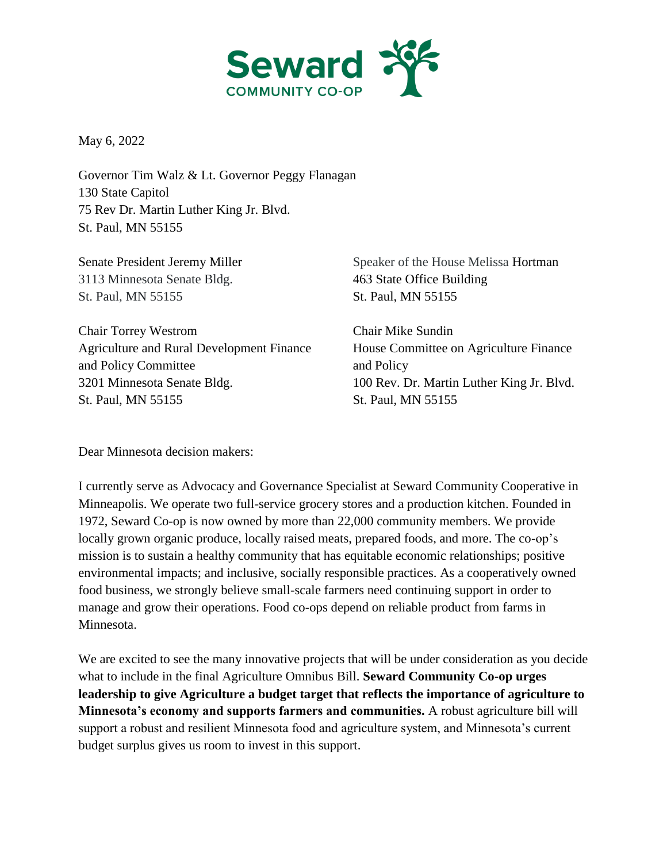

May 6, 2022

Governor Tim Walz & Lt. Governor Peggy Flanagan 130 State Capitol 75 Rev Dr. Martin Luther King Jr. Blvd. St. Paul, MN 55155

Senate President Jeremy Miller 3113 Minnesota Senate Bldg. St. Paul, MN 55155

Chair Torrey Westrom Agriculture and Rural Development Finance and Policy Committee 3201 Minnesota Senate Bldg. St. Paul, MN 55155

Speaker of the House Melissa Hortman 463 State Office Building St. Paul, MN 55155

Chair Mike Sundin House Committee on Agriculture Finance and Policy 100 Rev. Dr. Martin Luther King Jr. Blvd. St. Paul, MN 55155

Dear Minnesota decision makers:

I currently serve as Advocacy and Governance Specialist at Seward Community Cooperative in Minneapolis. We operate two full-service grocery stores and a production kitchen. Founded in 1972, Seward Co-op is now owned by more than 22,000 community members. We provide locally grown organic produce, locally raised meats, prepared foods, and more. The co-op's mission is to sustain a healthy community that has equitable economic relationships; positive environmental impacts; and inclusive, socially responsible practices. As a cooperatively owned food business, we strongly believe small-scale farmers need continuing support in order to manage and grow their operations. Food co-ops depend on reliable product from farms in Minnesota.

We are excited to see the many innovative projects that will be under consideration as you decide what to include in the final Agriculture Omnibus Bill. **Seward Community Co-op urges leadership to give Agriculture a budget target that reflects the importance of agriculture to Minnesota's economy and supports farmers and communities.** A robust agriculture bill will support a robust and resilient Minnesota food and agriculture system, and Minnesota's current budget surplus gives us room to invest in this support.